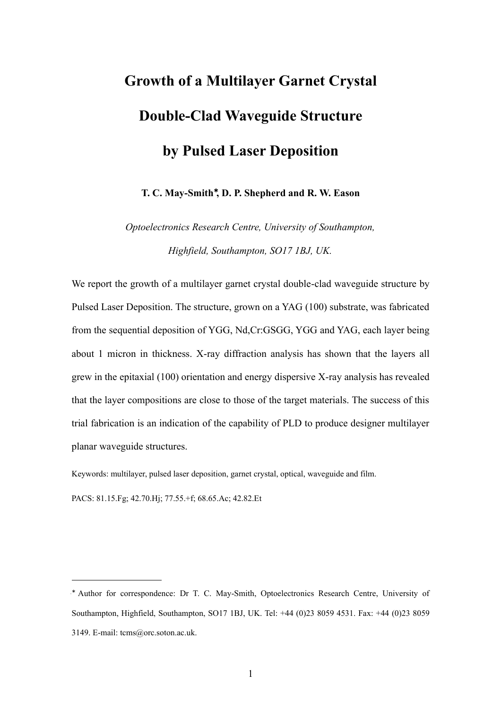# **Growth of a Multilayer Garnet Crystal Double-Clad Waveguide Structure by Pulsed Laser Deposition**

**T. C. May-Smith**[∗](#page-0-0) **, D. P. Shepherd and R. W. Eason**

*Optoelectronics Research Centre, University of Southampton, Highfield, Southampton, SO17 1BJ, UK.*

We report the growth of a multilayer garnet crystal double-clad waveguide structure by Pulsed Laser Deposition. The structure, grown on a YAG (100) substrate, was fabricated from the sequential deposition of YGG, Nd,Cr:GSGG, YGG and YAG, each layer being about 1 micron in thickness. X-ray diffraction analysis has shown that the layers all grew in the epitaxial (100) orientation and energy dispersive X-ray analysis has revealed that the layer compositions are close to those of the target materials. The success of this trial fabrication is an indication of the capability of PLD to produce designer multilayer planar waveguide structures.

Keywords: multilayer, pulsed laser deposition, garnet crystal, optical, waveguide and film.

PACS: 81.15.Fg; 42.70.Hj; 77.55.+f; 68.65.Ac; 42.82.Et

<span id="page-0-0"></span><sup>∗</sup> Author for correspondence: Dr T. C. May-Smith, Optoelectronics Research Centre, University of Southampton, Highfield, Southampton, SO17 1BJ, UK. Tel: +44 (0)23 8059 4531. Fax: +44 (0)23 8059 3149. E-mail: tcms@orc.soton.ac.uk.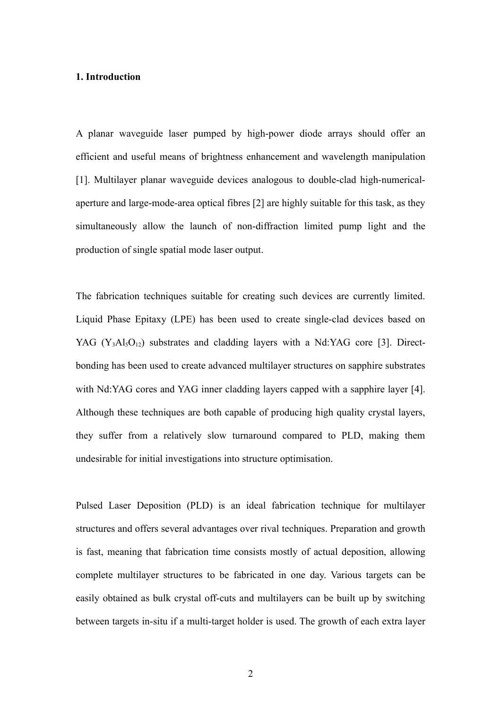#### **1. Introduction**

A planar waveguide laser pumped by high-power diode arrays should offer an efficient and useful means of brightness enhancement and wavelength manipulation [1]. Multilayer planar waveguide devices analogous to double-clad high-numericalaperture and large-mode-area optical fibres [2] are highly suitable for this task, as they simultaneously allow the launch of non-diffraction limited pump light and the production of single spatial mode laser output.

The fabrication techniques suitable for creating such devices are currently limited. Liquid Phase Epitaxy (LPE) has been used to create single-clad devices based on YAG  $(Y_3A_3O_{12})$  substrates and cladding layers with a Nd:YAG core [3]. Directbonding has been used to create advanced multilayer structures on sapphire substrates with Nd:YAG cores and YAG inner cladding layers capped with a sapphire layer [4]. Although these techniques are both capable of producing high quality crystal layers, they suffer from a relatively slow turnaround compared to PLD, making them undesirable for initial investigations into structure optimisation.

Pulsed Laser Deposition (PLD) is an ideal fabrication technique for multilayer structures and offers several advantages over rival techniques. Preparation and growth is fast, meaning that fabrication time consists mostly of actual deposition, allowing complete multilayer structures to be fabricated in one day. Various targets can be easily obtained as bulk crystal off-cuts and multilayers can be built up by switching between targets in-situ if a multi-target holder is used. The growth of each extra layer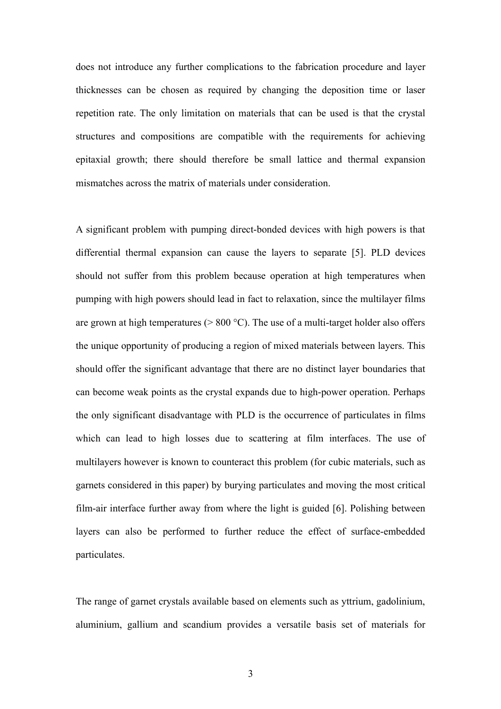does not introduce any further complications to the fabrication procedure and layer thicknesses can be chosen as required by changing the deposition time or laser repetition rate. The only limitation on materials that can be used is that the crystal structures and compositions are compatible with the requirements for achieving epitaxial growth; there should therefore be small lattice and thermal expansion mismatches across the matrix of materials under consideration.

A significant problem with pumping direct-bonded devices with high powers is that differential thermal expansion can cause the layers to separate [5]. PLD devices should not suffer from this problem because operation at high temperatures when pumping with high powers should lead in fact to relaxation, since the multilayer films are grown at high temperatures ( $> 800 °C$ ). The use of a multi-target holder also offers the unique opportunity of producing a region of mixed materials between layers. This should offer the significant advantage that there are no distinct layer boundaries that can become weak points as the crystal expands due to high-power operation. Perhaps the only significant disadvantage with PLD is the occurrence of particulates in films which can lead to high losses due to scattering at film interfaces. The use of multilayers however is known to counteract this problem (for cubic materials, such as garnets considered in this paper) by burying particulates and moving the most critical film-air interface further away from where the light is guided [6]. Polishing between layers can also be performed to further reduce the effect of surface-embedded particulates.

The range of garnet crystals available based on elements such as yttrium, gadolinium, aluminium, gallium and scandium provides a versatile basis set of materials for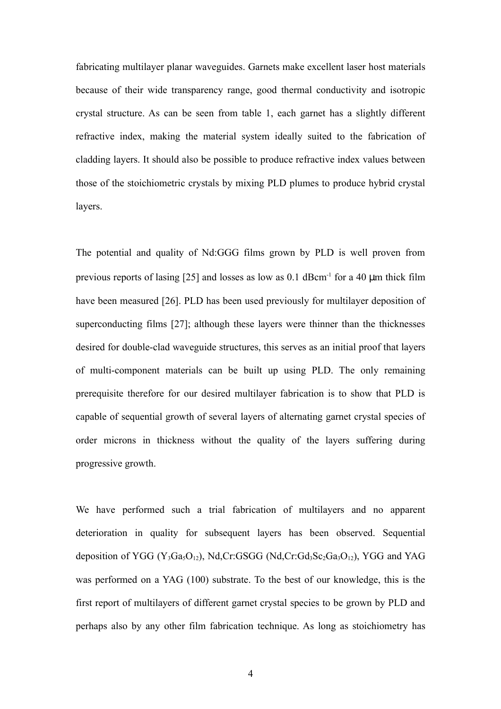fabricating multilayer planar waveguides. Garnets make excellent laser host materials because of their wide transparency range, good thermal conductivity and isotropic crystal structure. As can be seen from table 1, each garnet has a slightly different refractive index, making the material system ideally suited to the fabrication of cladding layers. It should also be possible to produce refractive index values between those of the stoichiometric crystals by mixing PLD plumes to produce hybrid crystal layers.

The potential and quality of Nd:GGG films grown by PLD is well proven from previous reports of lasing  $[25]$  and losses as low as 0.1 dBcm<sup>-1</sup> for a 40  $\mu$ m thick film have been measured [26]. PLD has been used previously for multilayer deposition of superconducting films [27]; although these layers were thinner than the thicknesses desired for double-clad waveguide structures, this serves as an initial proof that layers of multi-component materials can be built up using PLD. The only remaining prerequisite therefore for our desired multilayer fabrication is to show that PLD is capable of sequential growth of several layers of alternating garnet crystal species of order microns in thickness without the quality of the layers suffering during progressive growth.

We have performed such a trial fabrication of multilayers and no apparent deterioration in quality for subsequent layers has been observed. Sequential deposition of YGG (Y<sub>3</sub>Ga<sub>5</sub>O<sub>12</sub>), Nd,Cr:GSGG (Nd,Cr:Gd<sub>3</sub>Sc<sub>2</sub>Ga<sub>3</sub>O<sub>12</sub>), YGG and YAG was performed on a YAG (100) substrate. To the best of our knowledge, this is the first report of multilayers of different garnet crystal species to be grown by PLD and perhaps also by any other film fabrication technique. As long as stoichiometry has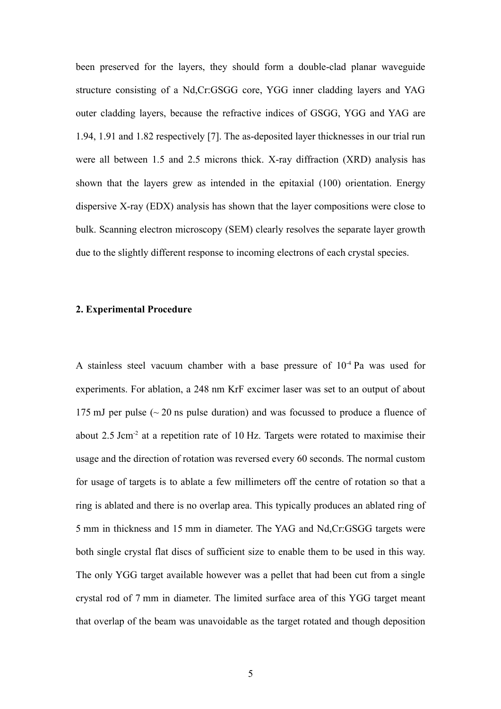been preserved for the layers, they should form a double-clad planar waveguide structure consisting of a Nd,Cr:GSGG core, YGG inner cladding layers and YAG outer cladding layers, because the refractive indices of GSGG, YGG and YAG are 1.94, 1.91 and 1.82 respectively [7]. The as-deposited layer thicknesses in our trial run were all between 1.5 and 2.5 microns thick. X-ray diffraction (XRD) analysis has shown that the layers grew as intended in the epitaxial (100) orientation. Energy dispersive X-ray (EDX) analysis has shown that the layer compositions were close to bulk. Scanning electron microscopy (SEM) clearly resolves the separate layer growth due to the slightly different response to incoming electrons of each crystal species.

# **2. Experimental Procedure**

A stainless steel vacuum chamber with a base pressure of  $10^{-4}$  Pa was used for experiments. For ablation, a 248 nm KrF excimer laser was set to an output of about 175 mJ per pulse  $\left(\sim 20 \text{ ns} \text{ pulse duration}\right)$  and was focussed to produce a fluence of about 2.5 Jcm<sup>-2</sup> at a repetition rate of 10 Hz. Targets were rotated to maximise their usage and the direction of rotation was reversed every 60 seconds. The normal custom for usage of targets is to ablate a few millimeters off the centre of rotation so that a ring is ablated and there is no overlap area. This typically produces an ablated ring of 5 mm in thickness and 15 mm in diameter. The YAG and Nd,Cr:GSGG targets were both single crystal flat discs of sufficient size to enable them to be used in this way. The only YGG target available however was a pellet that had been cut from a single crystal rod of 7 mm in diameter. The limited surface area of this YGG target meant that overlap of the beam was unavoidable as the target rotated and though deposition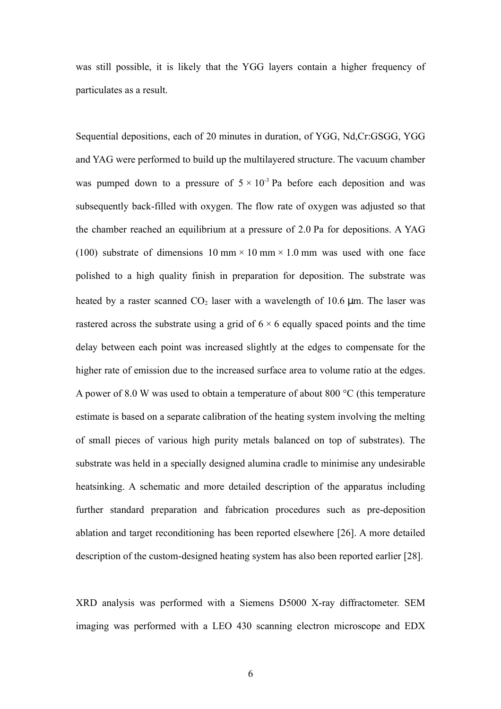was still possible, it is likely that the YGG layers contain a higher frequency of particulates as a result.

Sequential depositions, each of 20 minutes in duration, of YGG, Nd,Cr:GSGG, YGG and YAG were performed to build up the multilayered structure. The vacuum chamber was pumped down to a pressure of  $5 \times 10^{-3}$  Pa before each deposition and was subsequently back-filled with oxygen. The flow rate of oxygen was adjusted so that the chamber reached an equilibrium at a pressure of 2.0 Pa for depositions. A YAG (100) substrate of dimensions 10 mm  $\times$  10 mm  $\times$  1.0 mm was used with one face polished to a high quality finish in preparation for deposition. The substrate was heated by a raster scanned  $CO<sub>2</sub>$  laser with a wavelength of 10.6 µm. The laser was rastered across the substrate using a grid of  $6 \times 6$  equally spaced points and the time delay between each point was increased slightly at the edges to compensate for the higher rate of emission due to the increased surface area to volume ratio at the edges. A power of 8.0 W was used to obtain a temperature of about 800 °C (this temperature estimate is based on a separate calibration of the heating system involving the melting of small pieces of various high purity metals balanced on top of substrates). The substrate was held in a specially designed alumina cradle to minimise any undesirable heatsinking. A schematic and more detailed description of the apparatus including further standard preparation and fabrication procedures such as pre-deposition ablation and target reconditioning has been reported elsewhere [26]. A more detailed description of the custom-designed heating system has also been reported earlier [28].

XRD analysis was performed with a Siemens D5000 X-ray diffractometer. SEM imaging was performed with a LEO 430 scanning electron microscope and EDX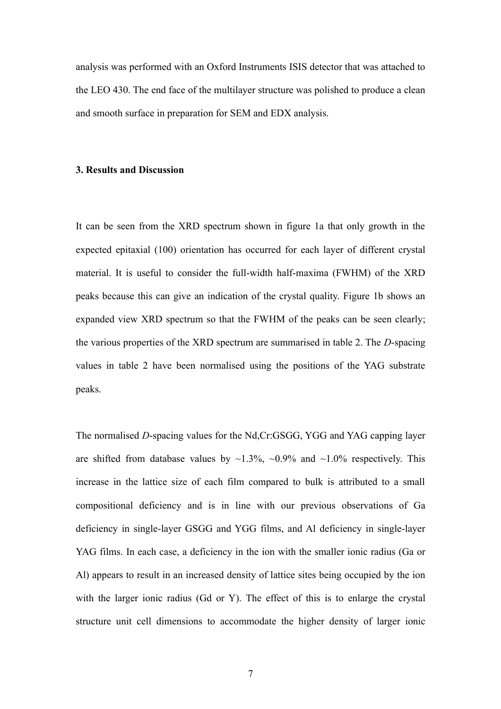analysis was performed with an Oxford Instruments ISIS detector that was attached to the LEO 430. The end face of the multilayer structure was polished to produce a clean and smooth surface in preparation for SEM and EDX analysis.

#### **3. Results and Discussion**

It can be seen from the XRD spectrum shown in figure 1a that only growth in the expected epitaxial (100) orientation has occurred for each layer of different crystal material. It is useful to consider the full-width half-maxima (FWHM) of the XRD peaks because this can give an indication of the crystal quality. Figure 1b shows an expanded view XRD spectrum so that the FWHM of the peaks can be seen clearly; the various properties of the XRD spectrum are summarised in table 2. The *D*-spacing values in table 2 have been normalised using the positions of the YAG substrate peaks.

The normalised *D*-spacing values for the Nd,Cr:GSGG, YGG and YAG capping layer are shifted from database values by  $\sim$ 1.3%,  $\sim$ 0.9% and  $\sim$ 1.0% respectively. This increase in the lattice size of each film compared to bulk is attributed to a small compositional deficiency and is in line with our previous observations of Ga deficiency in single-layer GSGG and YGG films, and Al deficiency in single-layer YAG films. In each case, a deficiency in the ion with the smaller ionic radius (Ga or Al) appears to result in an increased density of lattice sites being occupied by the ion with the larger ionic radius (Gd or Y). The effect of this is to enlarge the crystal structure unit cell dimensions to accommodate the higher density of larger ionic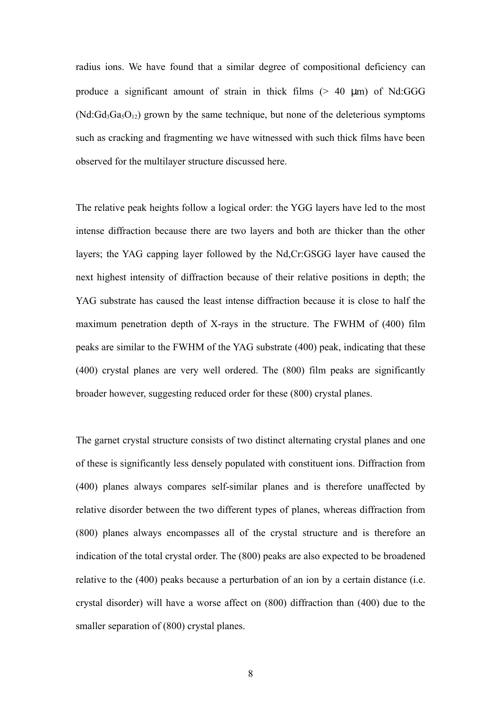radius ions. We have found that a similar degree of compositional deficiency can produce a significant amount of strain in thick films  $(> 40 \mu m)$  of Nd:GGG  $(Nd:Gd_3Ga_3O_{12})$  grown by the same technique, but none of the deleterious symptoms such as cracking and fragmenting we have witnessed with such thick films have been observed for the multilayer structure discussed here.

The relative peak heights follow a logical order: the YGG layers have led to the most intense diffraction because there are two layers and both are thicker than the other layers; the YAG capping layer followed by the Nd,Cr:GSGG layer have caused the next highest intensity of diffraction because of their relative positions in depth; the YAG substrate has caused the least intense diffraction because it is close to half the maximum penetration depth of X-rays in the structure. The FWHM of (400) film peaks are similar to the FWHM of the YAG substrate (400) peak, indicating that these (400) crystal planes are very well ordered. The (800) film peaks are significantly broader however, suggesting reduced order for these (800) crystal planes.

The garnet crystal structure consists of two distinct alternating crystal planes and one of these is significantly less densely populated with constituent ions. Diffraction from (400) planes always compares self-similar planes and is therefore unaffected by relative disorder between the two different types of planes, whereas diffraction from (800) planes always encompasses all of the crystal structure and is therefore an indication of the total crystal order. The (800) peaks are also expected to be broadened relative to the (400) peaks because a perturbation of an ion by a certain distance (i.e. crystal disorder) will have a worse affect on (800) diffraction than (400) due to the smaller separation of (800) crystal planes.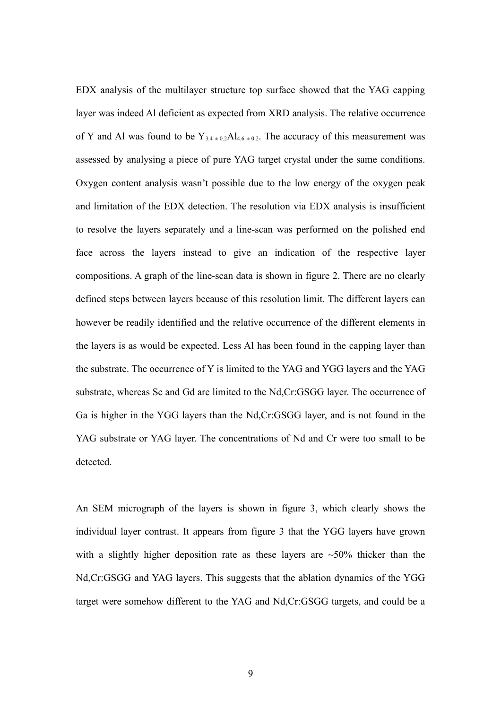EDX analysis of the multilayer structure top surface showed that the YAG capping layer was indeed Al deficient as expected from XRD analysis. The relative occurrence of Y and Al was found to be  $Y_{3,4\pm0.2}$ Al<sub>4.6 ±0.2</sub>. The accuracy of this measurement was assessed by analysing a piece of pure YAG target crystal under the same conditions. Oxygen content analysis wasn't possible due to the low energy of the oxygen peak and limitation of the EDX detection. The resolution via EDX analysis is insufficient to resolve the layers separately and a line-scan was performed on the polished end face across the layers instead to give an indication of the respective layer compositions. A graph of the line-scan data is shown in figure 2. There are no clearly defined steps between layers because of this resolution limit. The different layers can however be readily identified and the relative occurrence of the different elements in the layers is as would be expected. Less Al has been found in the capping layer than the substrate. The occurrence of Y is limited to the YAG and YGG layers and the YAG substrate, whereas Sc and Gd are limited to the Nd,Cr:GSGG layer. The occurrence of Ga is higher in the YGG layers than the Nd,Cr:GSGG layer, and is not found in the YAG substrate or YAG layer. The concentrations of Nd and Cr were too small to be detected.

An SEM micrograph of the layers is shown in figure 3, which clearly shows the individual layer contrast. It appears from figure 3 that the YGG layers have grown with a slightly higher deposition rate as these layers are  $\sim$ 50% thicker than the Nd,Cr:GSGG and YAG layers. This suggests that the ablation dynamics of the YGG target were somehow different to the YAG and Nd,Cr:GSGG targets, and could be a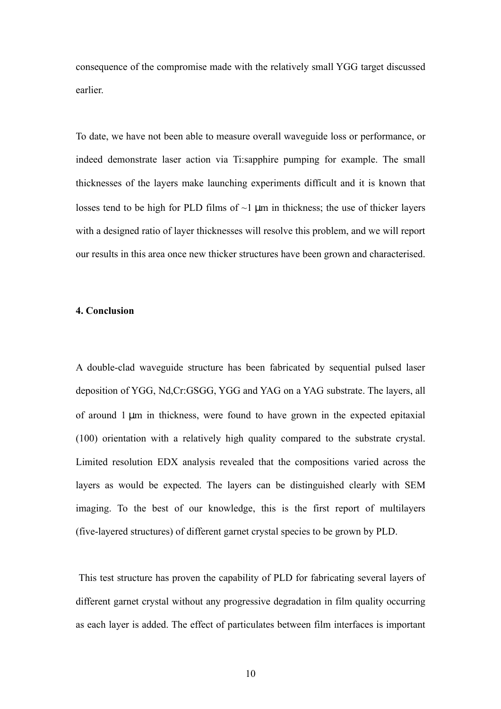consequence of the compromise made with the relatively small YGG target discussed earlier.

To date, we have not been able to measure overall waveguide loss or performance, or indeed demonstrate laser action via Ti:sapphire pumping for example. The small thicknesses of the layers make launching experiments difficult and it is known that losses tend to be high for PLD films of  $\sim$ 1  $\mu$ m in thickness; the use of thicker layers with a designed ratio of layer thicknesses will resolve this problem, and we will report our results in this area once new thicker structures have been grown and characterised.

## **4. Conclusion**

A double-clad waveguide structure has been fabricated by sequential pulsed laser deposition of YGG, Nd,Cr:GSGG, YGG and YAG on a YAG substrate. The layers, all of around 1 µm in thickness, were found to have grown in the expected epitaxial (100) orientation with a relatively high quality compared to the substrate crystal. Limited resolution EDX analysis revealed that the compositions varied across the layers as would be expected. The layers can be distinguished clearly with SEM imaging. To the best of our knowledge, this is the first report of multilayers (five-layered structures) of different garnet crystal species to be grown by PLD.

This test structure has proven the capability of PLD for fabricating several layers of different garnet crystal without any progressive degradation in film quality occurring as each layer is added. The effect of particulates between film interfaces is important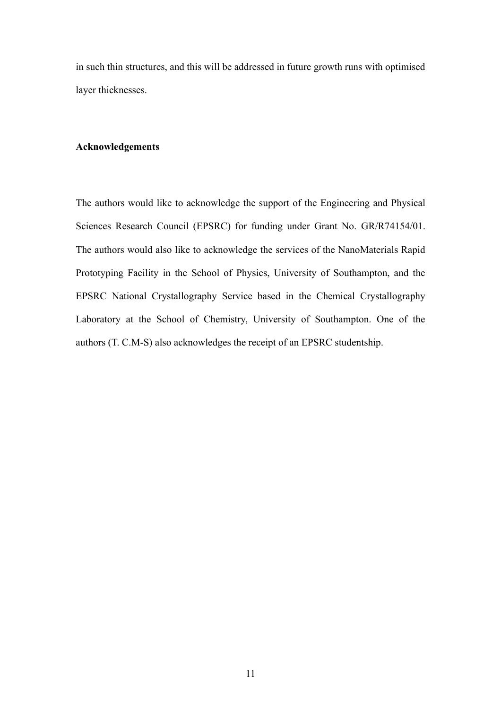in such thin structures, and this will be addressed in future growth runs with optimised layer thicknesses.

#### **Acknowledgements**

The authors would like to acknowledge the support of the Engineering and Physical Sciences Research Council (EPSRC) for funding under Grant No. GR/R74154/01. The authors would also like to acknowledge the services of the NanoMaterials Rapid Prototyping Facility in the School of Physics, University of Southampton, and the EPSRC National Crystallography Service based in the Chemical Crystallography Laboratory at the School of Chemistry, University of Southampton. One of the authors (T. C.M-S) also acknowledges the receipt of an EPSRC studentship.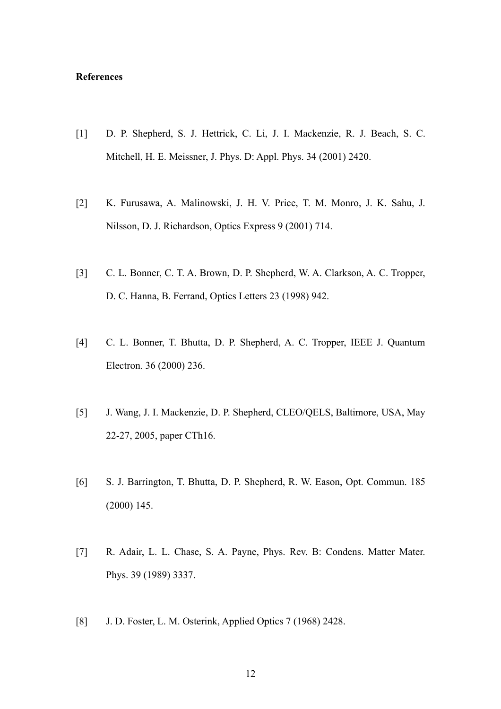## **References**

- [1] D. P. Shepherd, S. J. Hettrick, C. Li, J. I. Mackenzie, R. J. Beach, S. C. Mitchell, H. E. Meissner, J. Phys. D: Appl. Phys. 34 (2001) 2420.
- [2] K. Furusawa, A. Malinowski, J. H. V. Price, T. M. Monro, J. K. Sahu, J. Nilsson, D. J. Richardson, Optics Express 9 (2001) 714.
- [3] C. L. Bonner, C. T. A. Brown, D. P. Shepherd, W. A. Clarkson, A. C. Tropper, D. C. Hanna, B. Ferrand, Optics Letters 23 (1998) 942.
- [4] C. L. Bonner, T. Bhutta, D. P. Shepherd, A. C. Tropper, IEEE J. Quantum Electron. 36 (2000) 236.
- [5] J. Wang, J. I. Mackenzie, D. P. Shepherd, CLEO/QELS, Baltimore, USA, May 22-27, 2005, paper CTh16.
- [6] S. J. Barrington, T. Bhutta, D. P. Shepherd, R. W. Eason, Opt. Commun. 185 (2000) 145.
- [7] R. Adair, L. L. Chase, S. A. Payne, Phys. Rev. B: Condens. Matter Mater. Phys. 39 (1989) 3337.
- [8] J. D. Foster, L. M. Osterink, Applied Optics 7 (1968) 2428.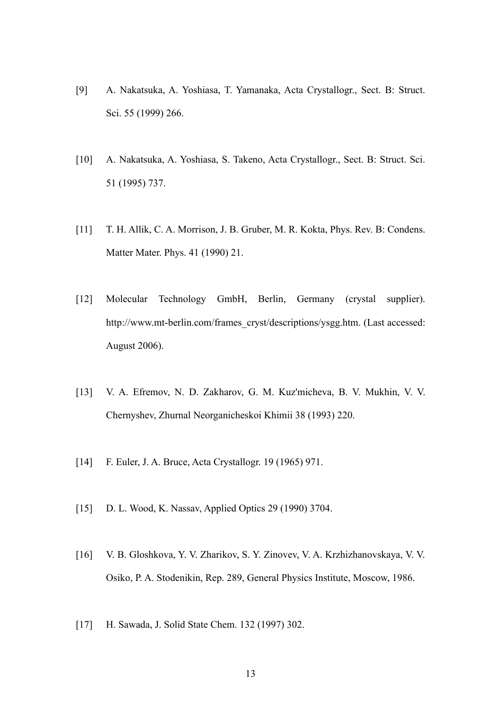- [9] A. Nakatsuka, A. Yoshiasa, T. Yamanaka, Acta Crystallogr., Sect. B: Struct. Sci. 55 (1999) 266.
- [10] A. Nakatsuka, A. Yoshiasa, S. Takeno, Acta Crystallogr., Sect. B: Struct. Sci. 51 (1995) 737.
- [11] T. H. Allik, C. A. Morrison, J. B. Gruber, M. R. Kokta, Phys. Rev. B: Condens. Matter Mater. Phys. 41 (1990) 21.
- [12] Molecular Technology GmbH, Berlin, Germany (crystal supplier). http://www.mt-berlin.com/frames\_cryst/descriptions/ysgg.htm. (Last accessed: August 2006).
- [13] V. A. Efremov, N. D. Zakharov, G. M. Kuz'micheva, B. V. Mukhin, V. V. Chernyshev, Zhurnal Neorganicheskoi Khimii 38 (1993) 220.
- [14] F. Euler, J. A. Bruce, Acta Crystallogr. 19 (1965) 971.
- [15] D. L. Wood, K. Nassay, Applied Optics 29 (1990) 3704.
- [16] V. B. Gloshkova, Y. V. Zharikov, S. Y. Zinovev, V. A. Krzhizhanovskaya, V. V. Osiko, P. A. Stodenikin, Rep. 289, General Physics Institute, Moscow, 1986.
- [17] H. Sawada, J. Solid State Chem. 132 (1997) 302.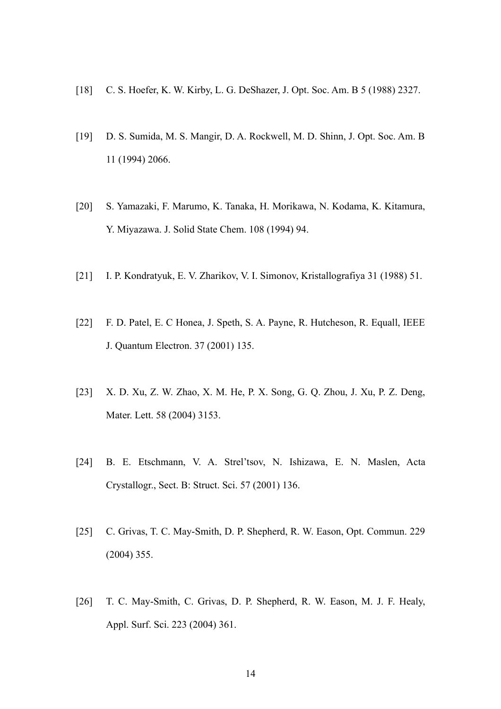- [18] C. S. Hoefer, K. W. Kirby, L. G. DeShazer, J. Opt. Soc. Am. B 5 (1988) 2327.
- [19] D. S. Sumida, M. S. Mangir, D. A. Rockwell, M. D. Shinn, J. Opt. Soc. Am. B 11 (1994) 2066.
- [20] S. Yamazaki, F. Marumo, K. Tanaka, H. Morikawa, N. Kodama, K. Kitamura, Y. Miyazawa. J. Solid State Chem. 108 (1994) 94.
- [21] I. P. Kondratyuk, E. V. Zharikov, V. I. Simonov, Kristallografiya 31 (1988) 51.
- [22] F. D. Patel, E. C Honea, J. Speth, S. A. Payne, R. Hutcheson, R. Equall, IEEE J. Quantum Electron. 37 (2001) 135.
- [23] X. D. Xu, Z. W. Zhao, X. M. He, P. X. Song, G. Q. Zhou, J. Xu, P. Z. Deng, Mater. Lett. 58 (2004) 3153.
- [24] B. E. Etschmann, V. A. Strel'tsov, N. Ishizawa, E. N. Maslen, Acta Crystallogr., Sect. B: Struct. Sci. 57 (2001) 136.
- [25] C. Grivas, T. C. May-Smith, D. P. Shepherd, R. W. Eason, Opt. Commun. 229 (2004) 355.
- [26] T. C. May-Smith, C. Grivas, D. P. Shepherd, R. W. Eason, M. J. F. Healy, Appl. Surf. Sci. 223 (2004) 361.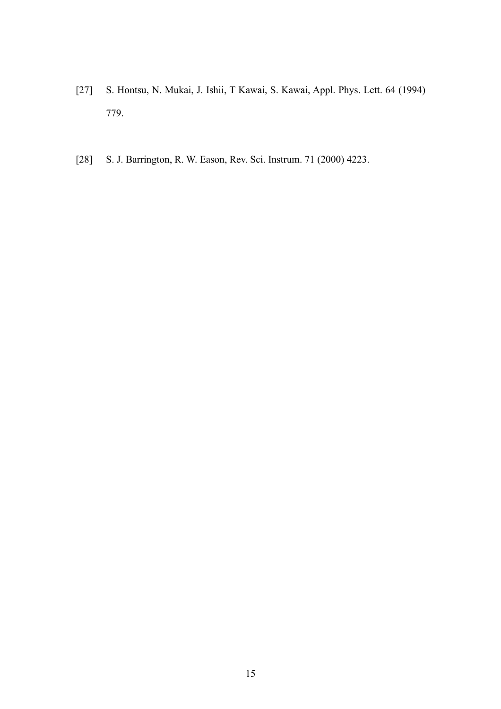- [27] S. Hontsu, N. Mukai, J. Ishii, T Kawai, S. Kawai, Appl. Phys. Lett. 64 (1994) 779.
- [28] S. J. Barrington, R. W. Eason, Rev. Sci. Instrum. 71 (2000) 4223.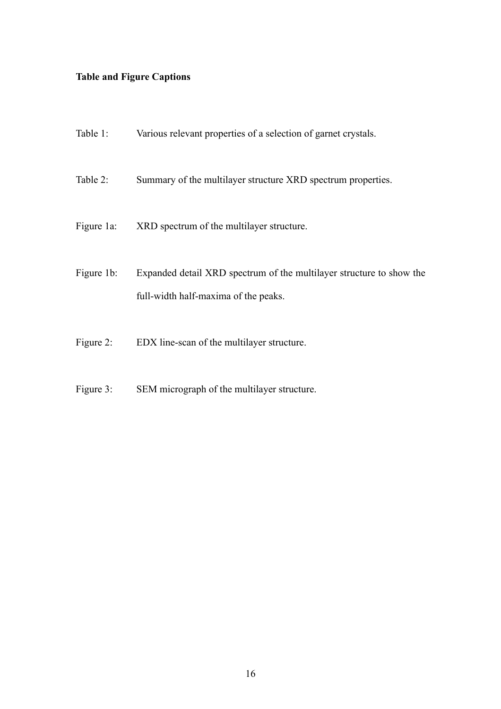# **Table and Figure Captions**

| Table 1:     | Various relevant properties of a selection of garnet crystals.                                               |
|--------------|--------------------------------------------------------------------------------------------------------------|
| Table 2:     | Summary of the multilayer structure XRD spectrum properties.                                                 |
| Figure 1a:   | XRD spectrum of the multilayer structure.                                                                    |
| Figure 1b:   | Expanded detail XRD spectrum of the multilayer structure to show the<br>full-width half-maxima of the peaks. |
| Figure $2$ : | EDX line-scan of the multilayer structure.                                                                   |

Figure 3: SEM micrograph of the multilayer structure.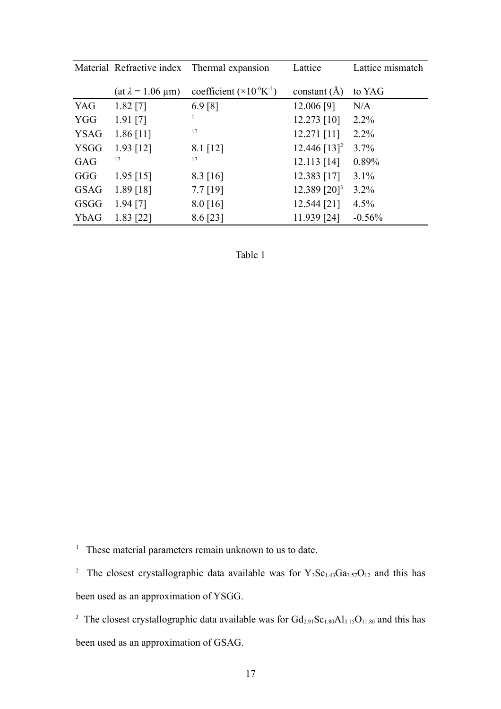|             |                             | Material Refractive index Thermal expansion  | Lattice                    | Lattice mismatch |  |
|-------------|-----------------------------|----------------------------------------------|----------------------------|------------------|--|
|             | $(at \lambda = 1.06 \mu m)$ | coefficient $(\times 10^{-6} \text{K}^{-1})$ | constant $(A)$             | to YAG           |  |
| YAG         | $1.82$ [7]                  | 6.9 [8]                                      | 12.006 [9]                 | N/A              |  |
| <b>YGG</b>  | $1.91$ [7]                  |                                              | $12.273$ [10]              | $2.2\%$          |  |
| <b>YSAG</b> | $1.86$ [11]                 | 17                                           | $12.271$ [11]              | $2.2\%$          |  |
| <b>YSGG</b> | $1.93$ [12]                 | $8.1$ [12]                                   | 12.446 $[13]$ <sup>2</sup> | 3.7%             |  |
| GAG         | 17                          | 17                                           | $12.113$ [14]              | 0.89%            |  |
| GGG         | $1.95$ [15]                 | $8.3 \, [16]$                                | 12.383 [17]                | $3.1\%$          |  |
| <b>GSAG</b> | $1.89$ [18]                 | $7.7$ [19]                                   | 12.389 [20] <sup>3</sup>   | 3.2%             |  |
| GSGG        | $1.94$ [7]                  | $8.0$ [16]                                   | 12.544 [21]                | 4.5%             |  |
| YbAG        | $1.83$ [22]                 | 8.6 [23]                                     | 11.939 [24]                | $-0.56%$         |  |

Table 1

<span id="page-16-0"></span><sup>&</sup>lt;sup>1</sup> These material parameters remain unknown to us to date.

<span id="page-16-1"></span><sup>&</sup>lt;sup>2</sup> The closest crystallographic data available was for  $Y_3Sc_{1.43}Ga_{3.57}O_{12}$  and this has been used as an approximation of YSGG.

<span id="page-16-2"></span><sup>&</sup>lt;sup>3</sup> The closest crystallographic data available was for  $Gd_{2.91}Sc_{1.80}Al_{3.15}O_{11.80}$  and this has been used as an approximation of GSAG.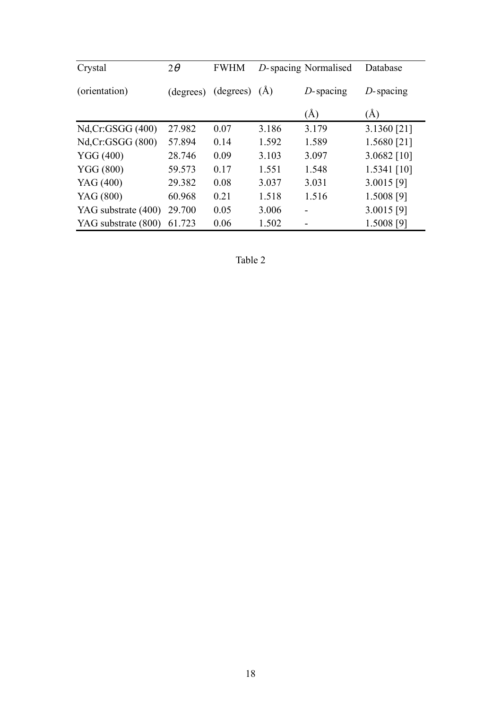| Crystal             | $2\theta$ | <b>FWHM</b>         |       | D-spacing Normalised | Database      |
|---------------------|-----------|---------------------|-------|----------------------|---------------|
| (orientation)       |           | (degrees) (degrees) | (A)   | $D$ -spacing         | $D$ -spacing  |
|                     |           |                     |       | (A)                  | (A)           |
| Nd, Cr: GSGG (400)  | 27.982    | 0.07                | 3.186 | 3.179                | 3.1360 [21]   |
| Nd, Cr: GSGG (800)  | 57.894    | 0.14                | 1.592 | 1.589                | 1.5680 [21]   |
| <b>YGG</b> (400)    | 28.746    | 0.09                | 3.103 | 3.097                | $3.0682$ [10] |
| <b>YGG (800)</b>    | 59.573    | 0.17                | 1.551 | 1.548                | $1.5341$ [10] |
| YAG (400)           | 29.382    | 0.08                | 3.037 | 3.031                | $3.0015$ [9]  |
| YAG (800)           | 60.968    | 0.21                | 1.518 | 1.516                | 1.5008 [9]    |
| YAG substrate (400) | 29.700    | 0.05                | 3.006 |                      | $3.0015$ [9]  |
| YAG substrate (800) | 61.723    | 0.06                | 1.502 |                      | 1.5008 [9]    |

Table 2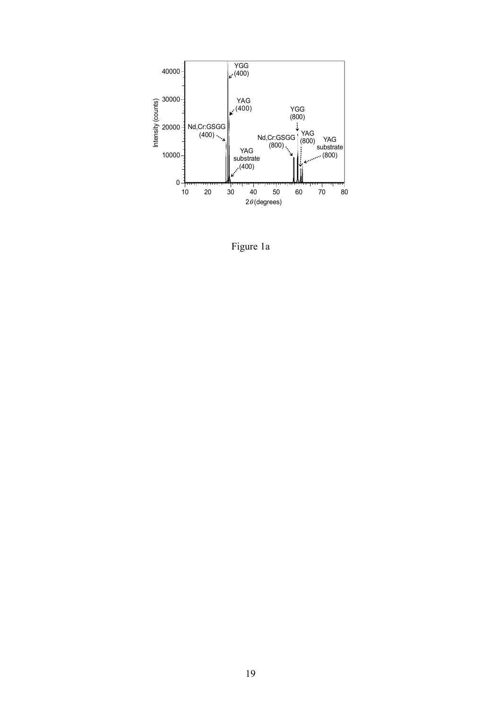

Figure 1a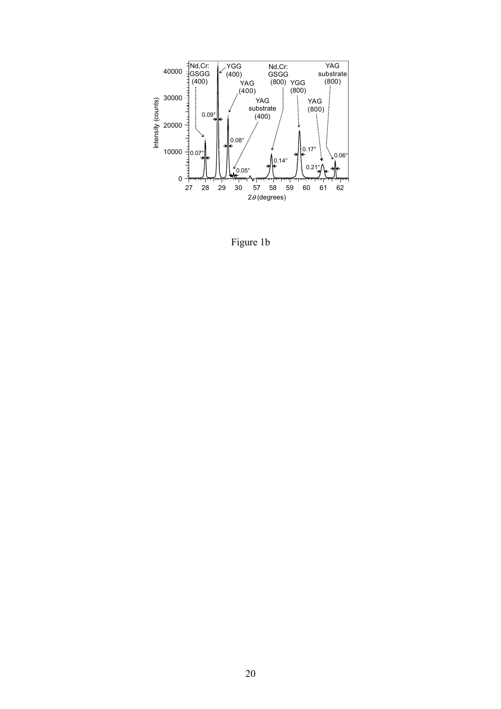

Figure 1b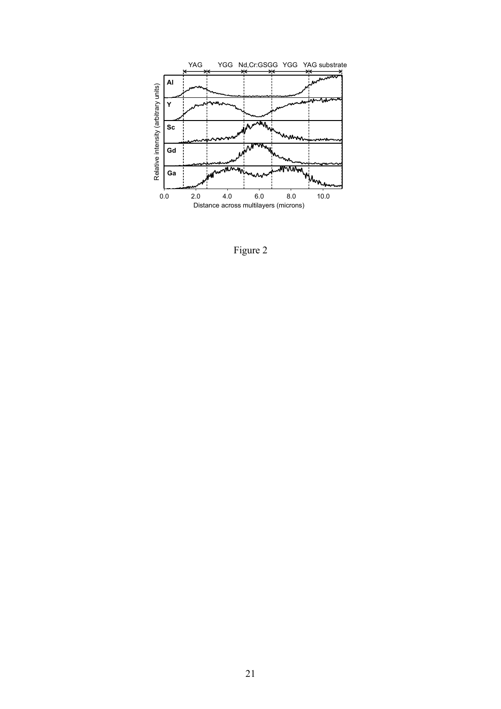

Figure 2